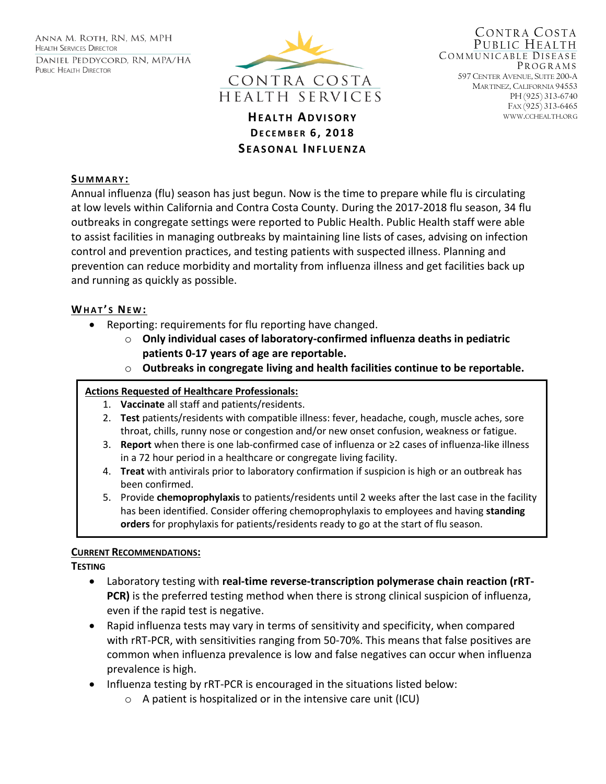ANNA M. ROTH, RN, MS, MPH **HEALTH SERVICES DIRECTOR** DANIEL PEDDYCORD, RN, MPA/HA PUBLIC HEALTH DIRECTOR



**HEALTH ADVISORY** WWW.CCHEALTH.ORG **DE C E M B E R 6, 201 8 S E A S O N A L IN F L U E N Z A**

CONTRA COSTA PUBLIC HEALTH COMMUNICABLE DISEASE PR O G R A M S 597 CENTER AVENUE, SUITE 200-A MARTINEZ, CALIFORNIA 94553 PH (925) 313-6740 FAX (925) 313-6465

### **SU M M A R Y :**

Annual influenza (flu) season has just begun. Now is the time to prepare while flu is circulating at low levels within California and Contra Costa County. During the 2017-2018 flu season, 34 flu outbreaks in congregate settings were reported to Public Health. Public Health staff were able to assist facilities in managing outbreaks by maintaining line lists of cases, advising on infection control and prevention practices, and testing patients with suspected illness. Planning and prevention can reduce morbidity and mortality from influenza illness and get facilities back up and running as quickly as possible.

### **WHAT'S NEW:**

- Reporting: requirements for flu reporting have changed.
	- o **Only individual cases of laboratory-confirmed influenza deaths in pediatric patients 0-17 years of age are reportable.**
	- o **Outbreaks in congregate living and health facilities continue to be reportable.**

### **Actions Requested of Healthcare Professionals:**

- 1. **Vaccinate** all staff and patients/residents.
- 2. **Test** patients/residents with compatible illness: fever, headache, cough, muscle aches, sore throat, chills, runny nose or congestion and/or new onset confusion, weakness or fatigue.
- 3. **Report** when there is one lab-confirmed case of influenza or ≥2 cases of influenza-like illness in a 72 hour period in a healthcare or congregate living facility.
- 4. **Treat** with antivirals prior to laboratory confirmation if suspicion is high or an outbreak has been confirmed.
- 5. Provide **chemoprophylaxis** to patients/residents until 2 weeks after the last case in the facility has been identified. Consider offering chemoprophylaxis to employees and having **standing orders** for prophylaxis for patients/residents ready to go at the start of flu season.

#### **CURRENT RECOMMENDATIONS:**

**TESTING**

- Laboratory testing with **real-time reverse-transcription polymerase chain reaction (rRT-PCR)** is the preferred testing method when there is strong clinical suspicion of influenza, even if the rapid test is negative.
- Rapid influenza tests may vary in terms of sensitivity and specificity, when compared with rRT-PCR, with sensitivities ranging from 50-70%. This means that false positives are common when influenza prevalence is low and false negatives can occur when influenza prevalence is high.
- Influenza testing by rRT-PCR is encouraged in the situations listed below:
	- o A patient is hospitalized or in the intensive care unit (ICU)